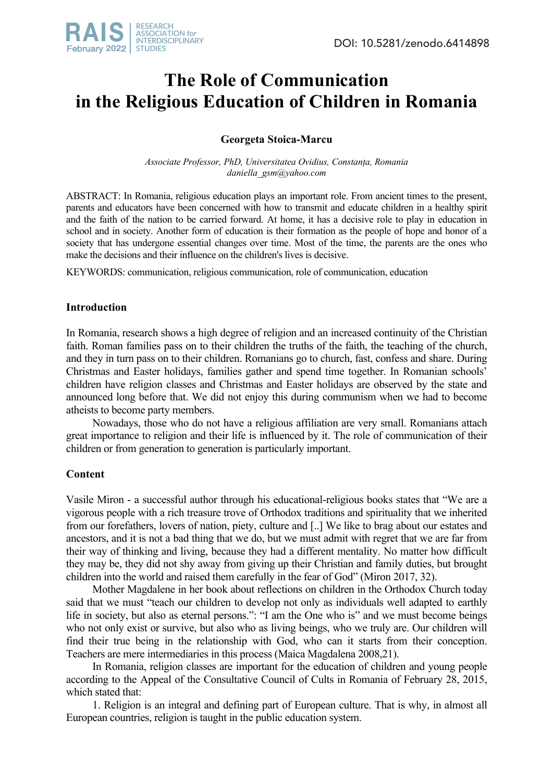

# **The Role of Communication in the Religious Education of Children in Romania**

## **Georgeta Stoica-Marcu**

*Associate Professor, PhD, Universitatea Ovidius, Constanța, Romania daniella\_gsm@yahoo.com* 

ABSTRACT: In Romania, religious education plays an important role. From ancient times to the present, parents and educators have been concerned with how to transmit and educate children in a healthy spirit and the faith of the nation to be carried forward. At home, it has a decisive role to play in education in school and in society. Another form of education is their formation as the people of hope and honor of a society that has undergone essential changes over time. Most of the time, the parents are the ones who make the decisions and their influence on the children's lives is decisive.

KEYWORDS: communication, religious communication, role of communication, education

### **Introduction**

In Romania, research shows a high degree of religion and an increased continuity of the Christian faith. Roman families pass on to their children the truths of the faith, the teaching of the church, and they in turn pass on to their children. Romanians go to church, fast, confess and share. During Christmas and Easter holidays, families gather and spend time together. In Romanian schools' children have religion classes and Christmas and Easter holidays are observed by the state and announced long before that. We did not enjoy this during communism when we had to become atheists to become party members.

Nowadays, those who do not have a religious affiliation are very small. Romanians attach great importance to religion and their life is influenced by it. The role of communication of their children or from generation to generation is particularly important.

## **Content**

Vasile Miron - a successful author through his educational-religious books states that "We are a vigorous people with a rich treasure trove of Orthodox traditions and spirituality that we inherited from our forefathers, lovers of nation, piety, culture and [..] We like to brag about our estates and ancestors, and it is not a bad thing that we do, but we must admit with regret that we are far from their way of thinking and living, because they had a different mentality. No matter how difficult they may be, they did not shy away from giving up their Christian and family duties, but brought children into the world and raised them carefully in the fear of God" (Miron 2017, 32).

Mother Magdalene in her book about reflections on children in the Orthodox Church today said that we must "teach our children to develop not only as individuals well adapted to earthly life in society, but also as eternal persons.": "I am the One who is" and we must become beings who not only exist or survive, but also who as living beings, who we truly are. Our children will find their true being in the relationship with God, who can it starts from their conception. Teachers are mere intermediaries in this process (Maica Magdalena 2008,21).

In Romania, religion classes are important for the education of children and young people according to the Appeal of the Consultative Council of Cults in Romania of February 28, 2015, which stated that:

1. Religion is an integral and defining part of European culture. That is why, in almost all European countries, religion is taught in the public education system.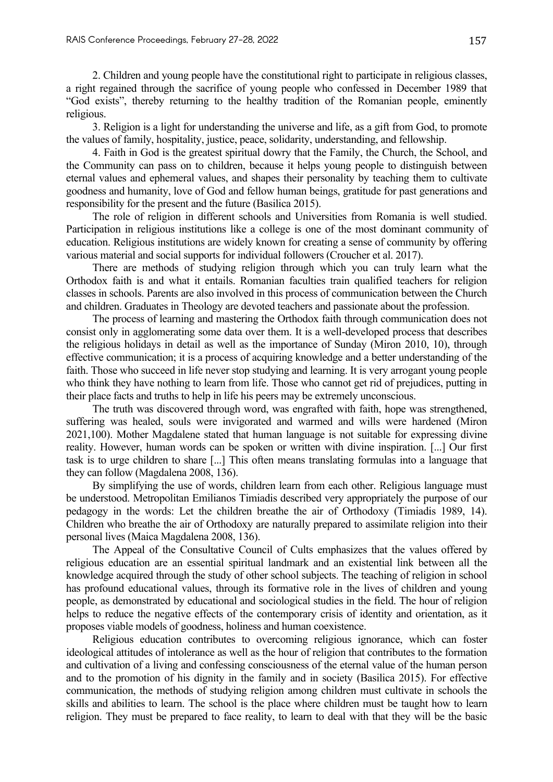2. Children and young people have the constitutional right to participate in religious classes, a right regained through the sacrifice of young people who confessed in December 1989 that "God exists", thereby returning to the healthy tradition of the Romanian people, eminently religious.

3. Religion is a light for understanding the universe and life, as a gift from God, to promote the values of family, hospitality, justice, peace, solidarity, understanding, and fellowship.

4. Faith in God is the greatest spiritual dowry that the Family, the Church, the School, and the Community can pass on to children, because it helps young people to distinguish between eternal values and ephemeral values, and shapes their personality by teaching them to cultivate goodness and humanity, love of God and fellow human beings, gratitude for past generations and responsibility for the present and the future (Basilica 2015).

The role of religion in different schools and Universities from Romania is well studied. Participation in religious institutions like a college is one of the most dominant community of education. Religious institutions are widely known for creating a sense of community by offering various material and social supports for individual followers (Croucher et al. 2017).

There are methods of studying religion through which you can truly learn what the Orthodox faith is and what it entails. Romanian faculties train qualified teachers for religion classes in schools. Parents are also involved in this process of communication between the Church and children. Graduates in Theology are devoted teachers and passionate about the profession.

The process of learning and mastering the Orthodox faith through communication does not consist only in agglomerating some data over them. It is a well-developed process that describes the religious holidays in detail as well as the importance of Sunday (Miron 2010, 10), through effective communication; it is a process of acquiring knowledge and a better understanding of the faith. Those who succeed in life never stop studying and learning. It is very arrogant young people who think they have nothing to learn from life. Those who cannot get rid of prejudices, putting in their place facts and truths to help in life his peers may be extremely unconscious.

The truth was discovered through word, was engrafted with faith, hope was strengthened, suffering was healed, souls were invigorated and warmed and wills were hardened (Miron 2021,100). Mother Magdalene stated that human language is not suitable for expressing divine reality. However, human words can be spoken or written with divine inspiration. [...] Our first task is to urge children to share [...] This often means translating formulas into a language that they can follow (Magdalena 2008, 136).

By simplifying the use of words, children learn from each other. Religious language must be understood. Metropolitan Emilianos Timiadis described very appropriately the purpose of our pedagogy in the words: Let the children breathe the air of Orthodoxy (Timiadis 1989, 14). Children who breathe the air of Orthodoxy are naturally prepared to assimilate religion into their personal lives (Maica Magdalena 2008, 136).

The Appeal of the Consultative Council of Cults emphasizes that the values offered by religious education are an essential spiritual landmark and an existential link between all the knowledge acquired through the study of other school subjects. The teaching of religion in school has profound educational values, through its formative role in the lives of children and young people, as demonstrated by educational and sociological studies in the field. The hour of religion helps to reduce the negative effects of the contemporary crisis of identity and orientation, as it proposes viable models of goodness, holiness and human coexistence.

Religious education contributes to overcoming religious ignorance, which can foster ideological attitudes of intolerance as well as the hour of religion that contributes to the formation and cultivation of a living and confessing consciousness of the eternal value of the human person and to the promotion of his dignity in the family and in society (Basilica 2015). For effective communication, the methods of studying religion among children must cultivate in schools the skills and abilities to learn. The school is the place where children must be taught how to learn religion. They must be prepared to face reality, to learn to deal with that they will be the basic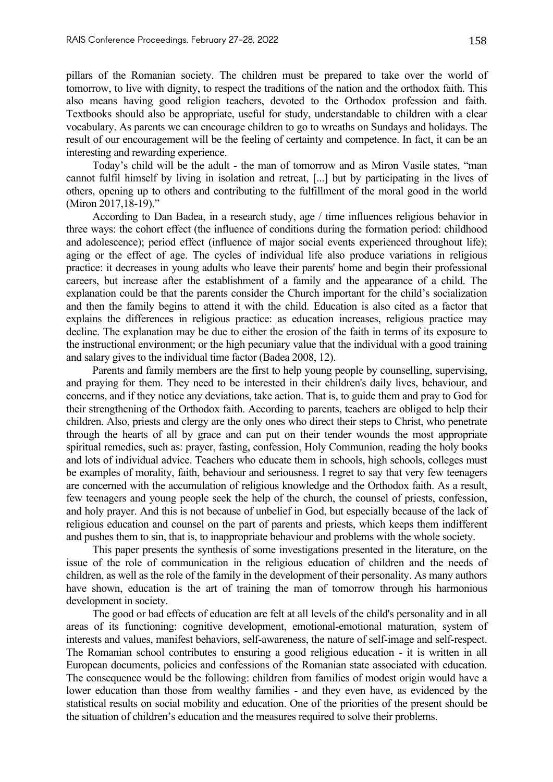pillars of the Romanian society. The children must be prepared to take over the world of tomorrow, to live with dignity, to respect the traditions of the nation and the orthodox faith. This also means having good religion teachers, devoted to the Orthodox profession and faith. Textbooks should also be appropriate, useful for study, understandable to children with a clear vocabulary. As parents we can encourage children to go to wreaths on Sundays and holidays. The result of our encouragement will be the feeling of certainty and competence. In fact, it can be an interesting and rewarding experience.

Today's child will be the adult - the man of tomorrow and as Miron Vasile states, "man cannot fulfil himself by living in isolation and retreat, [...] but by participating in the lives of others, opening up to others and contributing to the fulfillment of the moral good in the world (Miron 2017,18-19)."

According to Dan Badea, in a research study, age / time influences religious behavior in three ways: the cohort effect (the influence of conditions during the formation period: childhood and adolescence); period effect (influence of major social events experienced throughout life); aging or the effect of age. The cycles of individual life also produce variations in religious practice: it decreases in young adults who leave their parents' home and begin their professional careers, but increase after the establishment of a family and the appearance of a child. The explanation could be that the parents consider the Church important for the child's socialization and then the family begins to attend it with the child. Education is also cited as a factor that explains the differences in religious practice: as education increases, religious practice may decline. The explanation may be due to either the erosion of the faith in terms of its exposure to the instructional environment; or the high pecuniary value that the individual with a good training and salary gives to the individual time factor (Badea 2008, 12).

Parents and family members are the first to help young people by counselling, supervising, and praying for them. They need to be interested in their children's daily lives, behaviour, and concerns, and if they notice any deviations, take action. That is, to guide them and pray to God for their strengthening of the Orthodox faith. According to parents, teachers are obliged to help their children. Also, priests and clergy are the only ones who direct their steps to Christ, who penetrate through the hearts of all by grace and can put on their tender wounds the most appropriate spiritual remedies, such as: prayer, fasting, confession, Holy Communion, reading the holy books and lots of individual advice. Teachers who educate them in schools, high schools, colleges must be examples of morality, faith, behaviour and seriousness. I regret to say that very few teenagers are concerned with the accumulation of religious knowledge and the Orthodox faith. As a result, few teenagers and young people seek the help of the church, the counsel of priests, confession, and holy prayer. And this is not because of unbelief in God, but especially because of the lack of religious education and counsel on the part of parents and priests, which keeps them indifferent and pushes them to sin, that is, to inappropriate behaviour and problems with the whole society.

This paper presents the synthesis of some investigations presented in the literature, on the issue of the role of communication in the religious education of children and the needs of children, as well as the role of the family in the development of their personality. As many authors have shown, education is the art of training the man of tomorrow through his harmonious development in society.

The good or bad effects of education are felt at all levels of the child's personality and in all areas of its functioning: cognitive development, emotional-emotional maturation, system of interests and values, manifest behaviors, self-awareness, the nature of self-image and self-respect. The Romanian school contributes to ensuring a good religious education - it is written in all European documents, policies and confessions of the Romanian state associated with education. The consequence would be the following: children from families of modest origin would have a lower education than those from wealthy families - and they even have, as evidenced by the statistical results on social mobility and education. One of the priorities of the present should be the situation of children's education and the measures required to solve their problems.